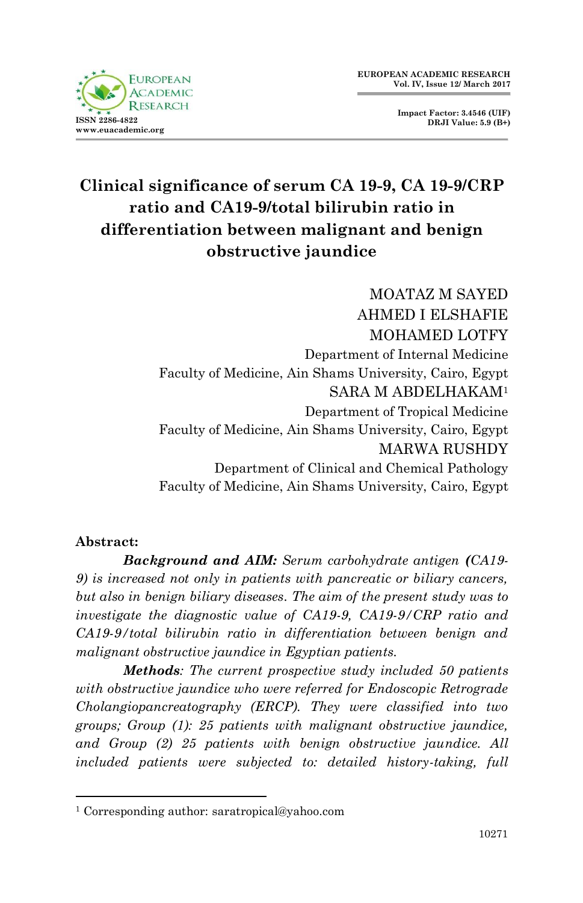

**Impact Factor: 3.4546 (UIF) DRJI Value: 5.9 (B+)**

# **Clinical significance of serum CA 19-9, CA 19-9/CRP ratio and CA19-9/total bilirubin ratio in differentiation between malignant and benign obstructive jaundice**

MOATAZ M SAYED AHMED I ELSHAFIE MOHAMED LOTFY Department of Internal Medicine Faculty of Medicine, Ain Shams University, Cairo, Egypt SARA M ABDELHAKAM<sup>1</sup> Department of Tropical Medicine Faculty of Medicine, Ain Shams University, Cairo, Egypt MARWA RUSHDY Department of Clinical and Chemical Pathology Faculty of Medicine, Ain Shams University, Cairo, Egypt

#### **Abstract:**

1

*Background and AIM: Serum carbohydrate antigen (CA19- 9) is increased not only in patients with pancreatic or biliary cancers, but also in benign biliary diseases. The aim of the present study was to investigate the diagnostic value of CA19-9, CA19-9/CRP ratio and CA19-9/total bilirubin ratio in differentiation between benign and malignant obstructive jaundice in Egyptian patients.*

*Methods: The current prospective study included 50 patients with obstructive jaundice who were referred for Endoscopic Retrograde Cholangiopancreatography (ERCP). They were classified into two groups; Group (1): 25 patients with malignant obstructive jaundice, and Group (2) 25 patients with benign obstructive jaundice. All included patients were subjected to: detailed history-taking, full* 

<sup>1</sup> Corresponding author: saratropical@yahoo.com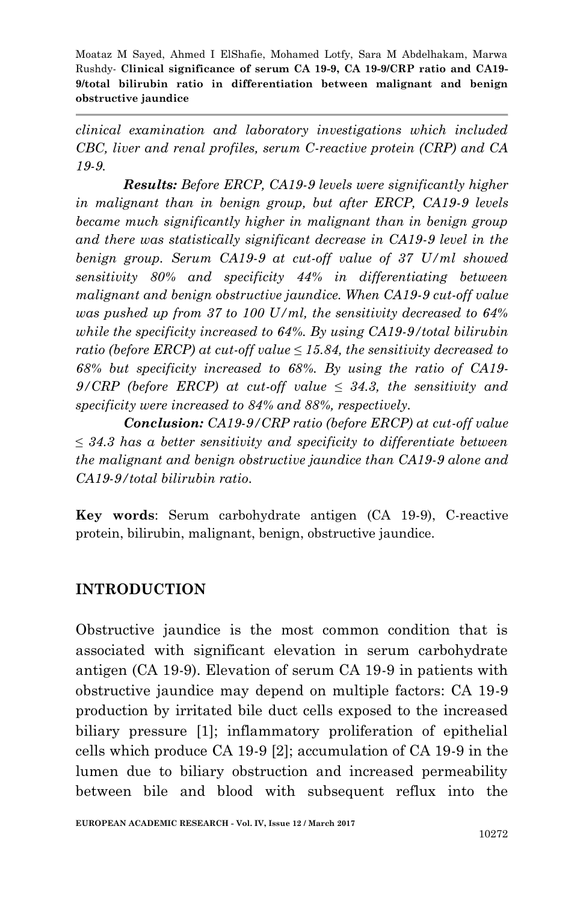*clinical examination and laboratory investigations which included CBC, liver and renal profiles, serum C-reactive protein (CRP) and CA 19-9.* 

*Results: Before ERCP, CA19-9 levels were significantly higher in malignant than in benign group, but after ERCP, CA19-9 levels became much significantly higher in malignant than in benign group and there was statistically significant decrease in CA19-9 level in the benign group. Serum CA19-9 at cut-off value of 37 U/ml showed sensitivity 80% and specificity 44% in differentiating between malignant and benign obstructive jaundice. When CA19-9 cut-off value was pushed up from 37 to 100 U/ml, the sensitivity decreased to 64% while the specificity increased to 64%. By using CA19-9/total bilirubin ratio (before ERCP) at cut-off value ≤ 15.84, the sensitivity decreased to 68% but specificity increased to 68%. By using the ratio of CA19- 9/CRP (before ERCP) at cut-off value ≤ 34.3, the sensitivity and specificity were increased to 84% and 88%, respectively.*

*Conclusion: CA19-9/CRP ratio (before ERCP) at cut-off value ≤ 34.3 has a better sensitivity and specificity to differentiate between the malignant and benign obstructive jaundice than CA19-9 alone and CA19-9/total bilirubin ratio.*

**Key words**: Serum carbohydrate antigen (CA 19-9), C-reactive protein, bilirubin, malignant, benign, obstructive jaundice.

### **INTRODUCTION**

Obstructive jaundice is the most common condition that is associated with significant elevation in serum carbohydrate antigen (CA 19-9). Elevation of serum CA 19-9 in patients with obstructive jaundice may depend on multiple factors: CA 19-9 production by irritated bile duct cells exposed to the increased biliary pressure [1]; inflammatory proliferation of epithelial cells which produce CA 19-9 [2]; accumulation of CA 19-9 in the lumen due to biliary obstruction and increased permeability between bile and blood with subsequent reflux into the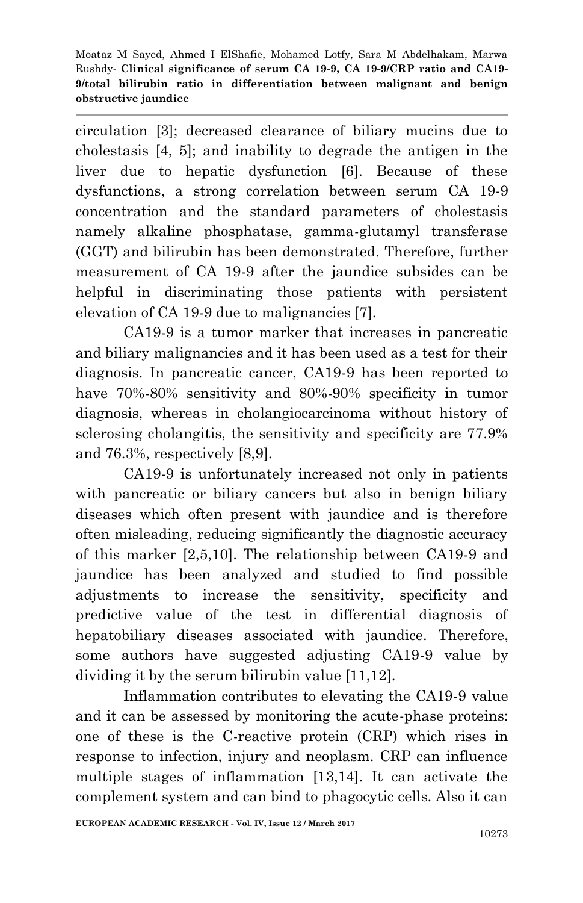circulation [3]; decreased clearance of biliary mucins due to cholestasis [4, 5]; and inability to degrade the antigen in the liver due to hepatic dysfunction [6]. Because of these dysfunctions, a strong correlation between serum CA 19-9 concentration and the standard parameters of cholestasis namely alkaline phosphatase, gamma-glutamyl transferase (GGT) and bilirubin has been demonstrated. Therefore, further measurement of CA 19-9 after the jaundice subsides can be helpful in discriminating those patients with persistent elevation of CA 19-9 due to malignancies [7].

CA19-9 is a tumor marker that increases in pancreatic and biliary malignancies and it has been used as a test for their diagnosis. In pancreatic cancer, CA19-9 has been reported to have  $70\% - 80\%$  sensitivity and  $80\% - 90\%$  specificity in tumor diagnosis, whereas in cholangiocarcinoma without history of sclerosing cholangitis, the sensitivity and specificity are 77.9% and 76.3%, respectively [8,9].

CA19-9 is unfortunately increased not only in patients with pancreatic or biliary cancers but also in benign biliary diseases which often present with jaundice and is therefore often misleading, reducing significantly the diagnostic accuracy of this marker [2,5,10]. The relationship between CA19-9 and jaundice has been analyzed and studied to find possible adjustments to increase the sensitivity, specificity and predictive value of the test in differential diagnosis of hepatobiliary diseases associated with jaundice. Therefore, some authors have suggested adjusting CA19-9 value by dividing it by the serum bilirubin value [11,12].

Inflammation contributes to elevating the CA19-9 value and it can be assessed by monitoring the acute-phase proteins: one of these is the C-reactive protein (CRP) which rises in response to infection, injury and neoplasm. CRP can influence multiple stages of inflammation [13,14]. It can activate the complement system and can bind to phagocytic cells. Also it can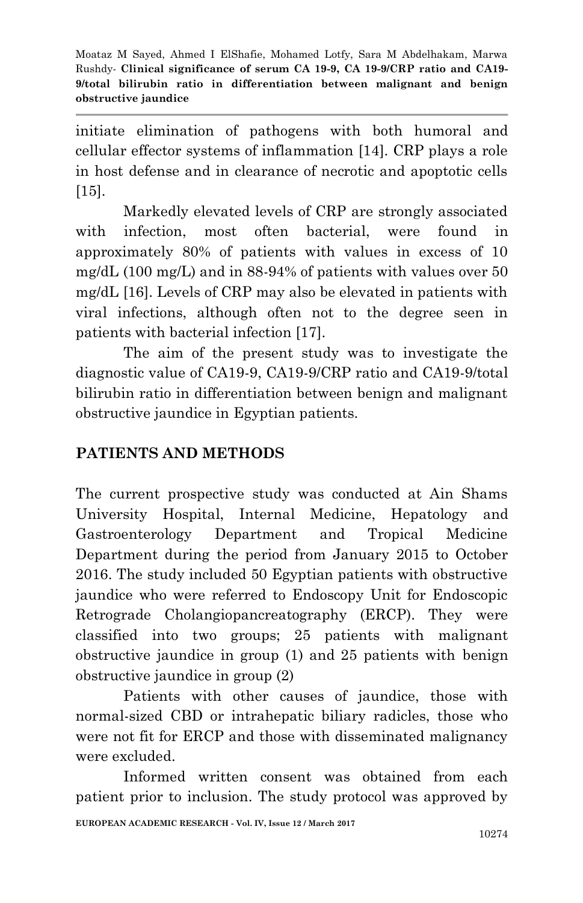initiate elimination of pathogens with both humoral and cellular effector systems of inflammation [14]. CRP plays a role in host defense and in clearance of necrotic and apoptotic cells [15].

Markedly elevated levels of CRP are strongly associated with infection, most often bacterial, were found in approximately 80% of patients with values in excess of 10 mg/dL (100 mg/L) and in 88-94% of patients with values over 50 mg/dL [16]. Levels of CRP may also be elevated in patients with viral infections, although often not to the degree seen in patients with bacterial infection [17].

The aim of the present study was to investigate the diagnostic value of CA19-9, CA19-9/CRP ratio and CA19-9/total bilirubin ratio in differentiation between benign and malignant obstructive jaundice in Egyptian patients.

### **PATIENTS AND METHODS**

The current prospective study was conducted at Ain Shams University Hospital, Internal Medicine, Hepatology and Gastroenterology Department and Tropical Medicine Department during the period from January 2015 to October 2016. The study included 50 Egyptian patients with obstructive jaundice who were referred to Endoscopy Unit for Endoscopic Retrograde Cholangiopancreatography (ERCP). They were classified into two groups; 25 patients with malignant obstructive jaundice in group (1) and 25 patients with benign obstructive jaundice in group (2)

Patients with other causes of jaundice, those with normal-sized CBD or intrahepatic biliary radicles, those who were not fit for ERCP and those with disseminated malignancy were excluded.

Informed written consent was obtained from each patient prior to inclusion. The study protocol was approved by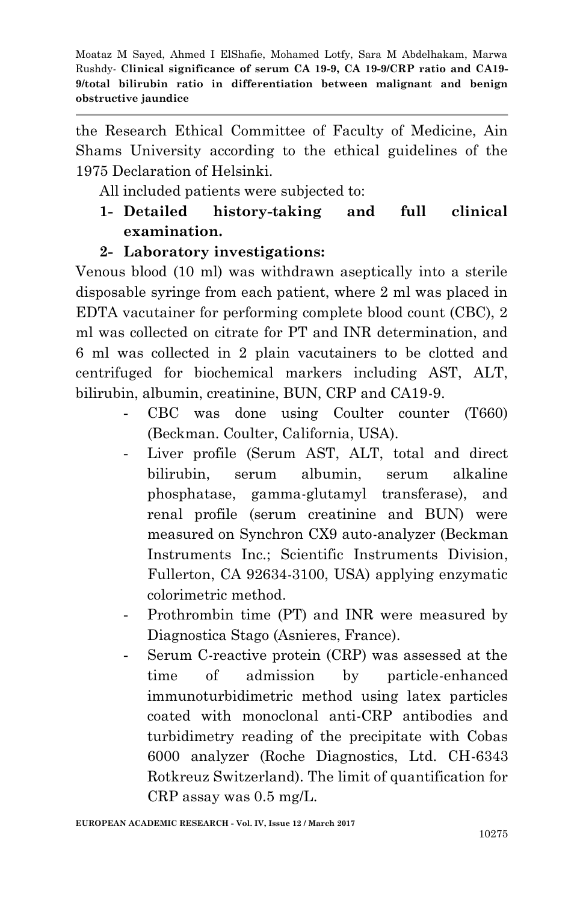the Research Ethical Committee of Faculty of Medicine, Ain Shams University according to the ethical guidelines of the 1975 Declaration of Helsinki.

All included patients were subjected to:

**1- Detailed history-taking and full clinical examination.**

#### **2- Laboratory investigations:**

Venous blood (10 ml) was withdrawn aseptically into a sterile disposable syringe from each patient, where 2 ml was placed in EDTA vacutainer for performing complete blood count (CBC), 2 ml was collected on citrate for PT and INR determination, and 6 ml was collected in 2 plain vacutainers to be clotted and centrifuged for biochemical markers including AST, ALT, bilirubin, albumin, creatinine, BUN, CRP and CA19-9.

- CBC was done using Coulter counter (T660) (Beckman. Coulter, California, USA).
- Liver profile (Serum AST, ALT, total and direct bilirubin, serum albumin, serum alkaline phosphatase, gamma-glutamyl transferase), and renal profile (serum creatinine and BUN) were measured on Synchron CX9 auto-analyzer (Beckman Instruments Inc.; Scientific Instruments Division, Fullerton, CA 92634-3100, USA) applying enzymatic colorimetric method.
- Prothrombin time (PT) and INR were measured by Diagnostica Stago (Asnieres, France).
- Serum C-reactive protein (CRP) was assessed at the time of admission by particle-enhanced immunoturbidimetric method using latex particles coated with monoclonal anti-CRP antibodies and turbidimetry reading of the precipitate with Cobas 6000 analyzer (Roche Diagnostics, Ltd. CH-6343 Rotkreuz Switzerland). The limit of quantification for CRP assay was 0.5 mg/L.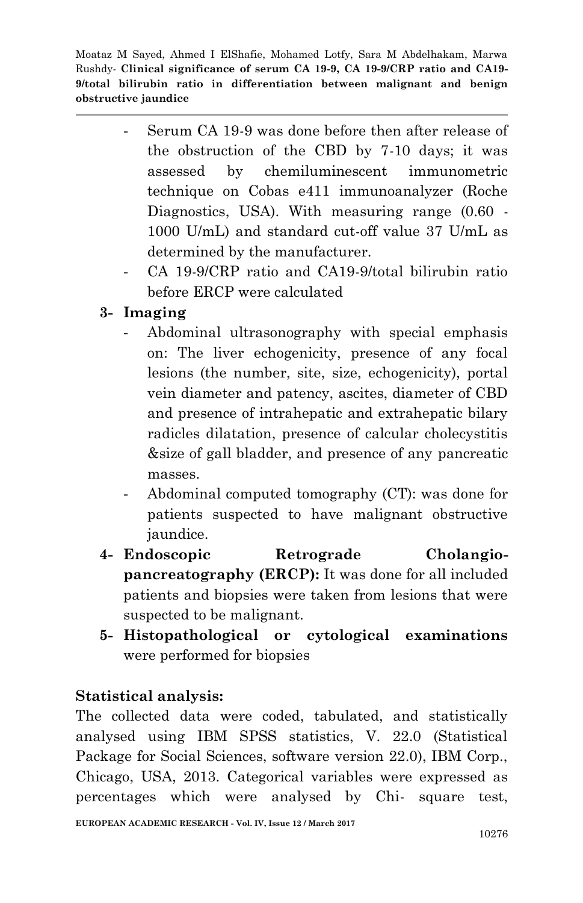- Serum CA 19-9 was done before then after release of the obstruction of the CBD by 7-10 days; it was assessed by chemiluminescent immunometric technique on Cobas e411 immunoanalyzer (Roche Diagnostics, USA). With measuring range (0.60 - 1000 U/mL) and standard cut-off value 37 U/mL as determined by the manufacturer.
- CA 19-9/CRP ratio and CA19-9/total bilirubin ratio before ERCP were calculated

## **3- Imaging**

- Abdominal ultrasonography with special emphasis on: The liver echogenicity, presence of any focal lesions (the number, site, size, echogenicity), portal vein diameter and patency, ascites, diameter of CBD and presence of intrahepatic and extrahepatic bilary radicles dilatation, presence of calcular cholecystitis &size of gall bladder, and presence of any pancreatic masses.
- Abdominal computed tomography (CT): was done for patients suspected to have malignant obstructive jaundice.
- **4- Endoscopic Retrograde Cholangiopancreatography (ERCP):** It was done for all included patients and biopsies were taken from lesions that were suspected to be malignant.
- **5- Histopathological or cytological examinations** were performed for biopsies

### **Statistical analysis:**

The collected data were coded, tabulated, and statistically analysed using IBM SPSS statistics, V. 22.0 (Statistical Package for Social Sciences, software version 22.0), IBM Corp., Chicago, USA, 2013. Categorical variables were expressed as percentages which were analysed by Chi- square test,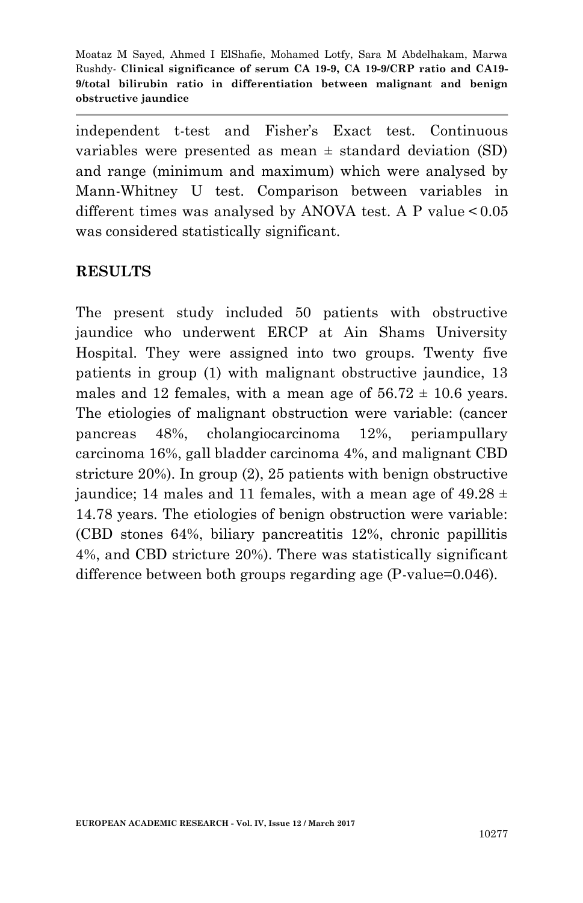independent t-test and Fisher's Exact test. Continuous variables were presented as mean  $\pm$  standard deviation (SD) and range (minimum and maximum) which were analysed by Mann-Whitney U test. Comparison between variables in different times was analysed by ANOVA test. A P value <  $0.05$ was considered statistically significant.

#### **RESULTS**

The present study included 50 patients with obstructive jaundice who underwent ERCP at Ain Shams University Hospital. They were assigned into two groups. Twenty five patients in group (1) with malignant obstructive jaundice, 13 males and 12 females, with a mean age of  $56.72 \pm 10.6$  years. The etiologies of malignant obstruction were variable: (cancer pancreas 48%, cholangiocarcinoma 12%, periampullary carcinoma 16%, gall bladder carcinoma 4%, and malignant CBD stricture 20%). In group (2), 25 patients with benign obstructive jaundice; 14 males and 11 females, with a mean age of  $49.28 \pm$ 14.78 years. The etiologies of benign obstruction were variable: (CBD stones 64%, biliary pancreatitis 12%, chronic papillitis 4%, and CBD stricture 20%). There was statistically significant difference between both groups regarding age (P-value=0.046).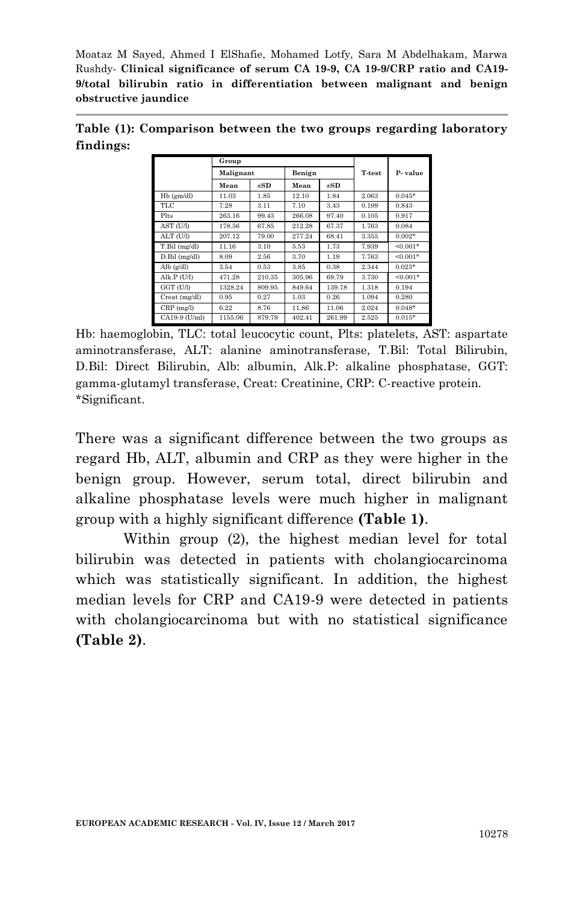**Table (1): Comparison between the two groups regarding laboratory findings:**

|                   | Group     |          |        |          |        |            |  |  |
|-------------------|-----------|----------|--------|----------|--------|------------|--|--|
|                   | Malignant |          | Benign |          | T-test | P-value    |  |  |
|                   | Mean      | $\pm$ SD | Mean   | $\pm SD$ |        |            |  |  |
| Hb (gm/dl)        | 11.03     | 1.85     | 12.10  | 1.84     | 2.063  | $0.045*$   |  |  |
| TLC               | 7.28      | 3.11     | 7.10   | 3.43     | 0.199  | 0.843      |  |  |
| Plts              | 263.16    | 99.43    | 266.08 | 97.40    | 0.105  | 0.917      |  |  |
| AST (U/l)         | 178.56    | 67.85    | 212.28 | 67.37    | 1.763  | 0.084      |  |  |
| ALT (U/I)         | 207.12    | 79.00    | 277.24 | 68.41    | 3.355  | $0.002*$   |  |  |
| T.Bil (mg/dl)     | 11.16     | 3.10     | 5.53   | 1.73     | 7.939  | $< 0.001*$ |  |  |
| $D.Bil$ (mg/dl)   | 8.09      | 2.56     | 3.70   | 1.19     | 7.763  | $< 0.001*$ |  |  |
| Alb $(g/dl)$      | 3.54      | 0.53     | 3.85   | 0.38     | 2.344  | $0.023*$   |  |  |
| Alk. $P$ (U/l)    | 471.28    | 210.35   | 305.96 | 69.79    | 3.730  | $< 0.001*$ |  |  |
| GGT (U/I)         | 1328.24   | 809.95   | 849.64 | 139.78   | 1.318  | 0.194      |  |  |
| Creat (mg/dl)     | 0.95      | 0.27     | 1.03   | 0.26     | 1.094  | 0.280      |  |  |
| $CRP$ (mg/l)      | 6.22      | 8.76     | 11.86  | 11.06    | 2.024  | $0.048*$   |  |  |
| $CA19-9$ $(U/ml)$ | 1155.06   | 879.79   | 402.41 | 261.99   | 2.525  | $0.015*$   |  |  |

Hb: haemoglobin, TLC: total leucocytic count, Plts: platelets, AST: aspartate aminotransferase, ALT: alanine aminotransferase, T.Bil: Total Bilirubin, D.Bil: Direct Bilirubin, Alb: albumin, Alk.P: alkaline phosphatase, GGT: gamma-glutamyl transferase, Creat: Creatinine, CRP: C-reactive protein. \*Significant.

There was a significant difference between the two groups as regard Hb, ALT, albumin and CRP as they were higher in the benign group. However, serum total, direct bilirubin and alkaline phosphatase levels were much higher in malignant group with a highly significant difference **(Table 1)**.

Within group (2), the highest median level for total bilirubin was detected in patients with cholangiocarcinoma which was statistically significant. In addition, the highest median levels for CRP and CA19-9 were detected in patients with cholangiocarcinoma but with no statistical significance **(Table 2)**.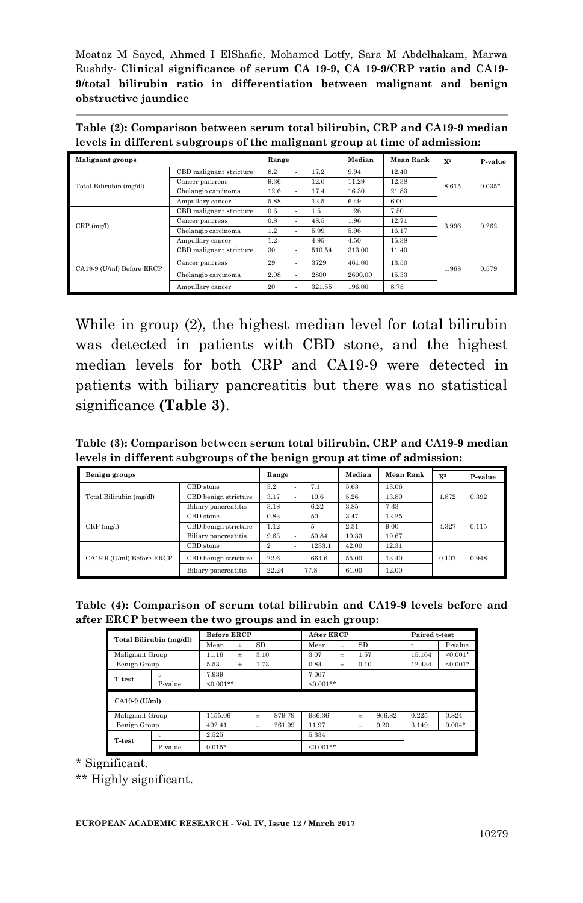**Table (2): Comparison between serum total bilirubin, CRP and CA19-9 median levels in different subgroups of the malignant group at time of admission:**

| <b>Malignant groups</b>   |                         | Range |                |              | Median  | <b>Mean Rank</b> | $X^2$ | P-value  |
|---------------------------|-------------------------|-------|----------------|--------------|---------|------------------|-------|----------|
| Total Bilirubin (mg/dl)   | CBD malignant stricture | 8.2   |                | 17.2         | 9.94    | 12.40            |       |          |
|                           | Cancer pancreas         | 9.36  | $\blacksquare$ | 12.6         | 11.29   | 12.38            | 8.615 | $0.035*$ |
|                           | Cholangio carcinoma     | 12.6  | $\sim$         | 17.4         | 16.30   | 21.83            |       |          |
|                           | Ampullary cancer        | 5.88  | ٠              | 12.5<br>6.49 |         | 6.00             |       |          |
| $CRP$ (mg/l)              | CBD malignant stricture | 0.6   | ٠              | 1.5          | 1.26    | 7.50             |       | 0.262    |
|                           | Cancer pancreas         | 0.8   | $\sim$         | 48.5         | 1.96    | 12.71            | 3.996 |          |
|                           | Cholangio carcinoma     | 1.2   | $\sim$         | 5.99         | 5.96    | 16.17            |       |          |
|                           | Ampullary cancer        | 1.2   | $\sim$         | 4.95         | 4.50    | 15.38            |       |          |
| CA19-9 (U/ml) Before ERCP | CBD malignant stricture | 30    | $\sim$         | 510.54       | 313.00  | 11.40            | 1.968 | 0.579    |
|                           | Cancer pancreas         | 29    | $\sim$         | 3729         | 461.00  | 13.50            |       |          |
|                           | Cholangio carcinoma     | 2.08  | $\sim$         | 2800         | 2600.00 | 15.33            |       |          |
|                           | Ampullary cancer        | 20    | $\blacksquare$ | 321.55       | 196.00  | 8.75             |       |          |

While in group (2), the highest median level for total bilirubin was detected in patients with CBD stone, and the highest median levels for both CRP and CA19-9 were detected in patients with biliary pancreatitis but there was no statistical significance **(Table 3)**.

**Table (3): Comparison between serum total bilirubin, CRP and CA19-9 median levels in different subgroups of the benign group at time of admission:**

| Benign groups             |                      | Range          |                | Median | Mean Rank | $X^2$ | P-value |       |
|---------------------------|----------------------|----------------|----------------|--------|-----------|-------|---------|-------|
| Total Bilirubin (mg/dl)   | CBD stone            | 3.2            | ٠              | 7.1    | 5.63      | 13.06 |         | 0.392 |
|                           | CBD benign stricture | 3.17           | ٠              | 10.6   | 5.26      | 13.80 | 1.872   |       |
|                           | Biliary pancreatitis | 3.18           | $\blacksquare$ | 6.22   | 3.85      | 7.33  |         |       |
| $CRP$ (mg/l)              | CBD stone            | 0.83           | $\blacksquare$ | 50     | 3.47      | 12.25 |         | 0.115 |
|                           | CBD benign stricture | 1.12           | ٠              | 5      | 2.31      | 9.00  | 4.327   |       |
|                           | Biliary pancreatitis | 9.63           | ٠              | 50.84  | 10.33     | 19.67 |         |       |
| CA19-9 (U/ml) Before ERCP | CBD stone            | $\overline{2}$ | ٠              | 1233.1 | 42.00     | 12.31 |         | 0.948 |
|                           | CBD benign stricture | 22.6           |                | 664.6  | 55.00     | 13.40 | 0.107   |       |
|                           | Biliary pancreatitis | 22.24          |                | 77.8   | 61.00     | 12.00 |         |       |

| Table (4): Comparison of serum total bilirubin and CA19-9 levels before and |  |  |  |  |
|-----------------------------------------------------------------------------|--|--|--|--|
| after ERCP between the two groups and in each group:                        |  |  |  |  |

| Total Bilirubin (mg/dl) |         | <b>Before ERCP</b> |          |       | <b>After ERCP</b> |             |       | Paired t-test |        |        |            |
|-------------------------|---------|--------------------|----------|-------|-------------------|-------------|-------|---------------|--------|--------|------------|
|                         |         | Mean               | $_{\pm}$ | SD    |                   | Mean        | ±     | SD            |        |        | P-value    |
| Malignant Group         |         | 11.16              | $_{\pm}$ | 3.10  |                   | 3.07        | ±     | 1.57          |        | 15.164 | $< 0.001*$ |
| Benign Group            |         | 5.53               | $_{\pm}$ | 1.73  |                   | 0.84        | $\pm$ | 0.10          |        | 12.434 | $< 0.001*$ |
| T-test                  | t.      | 7.939              |          |       |                   | 7.067       |       |               |        |        |            |
|                         | P-value | $< 0.001**$        |          |       |                   | $< 0.001**$ |       |               |        |        |            |
| $CA19-9$ (U/ml)         |         |                    |          |       |                   |             |       |               |        |        |            |
| Malignant Group         |         | 1155.06            |          | $\pm$ | 879.79            | 936.36      |       | $\pm$         | 866.82 | 0.225  | 0.824      |
| Benign Group            |         | 402.41             |          | $\pm$ | 261.99            | 11.97       |       | $_{\pm}$      | 9.20   | 3.149  | $0.004*$   |
| T-test                  | t       | 2.525              |          |       |                   | 5.334       |       |               |        |        |            |
|                         | P-value | $0.015*$           |          |       |                   | $< 0.001**$ |       |               |        |        |            |

*\** Significant.

\*\* Highly significant.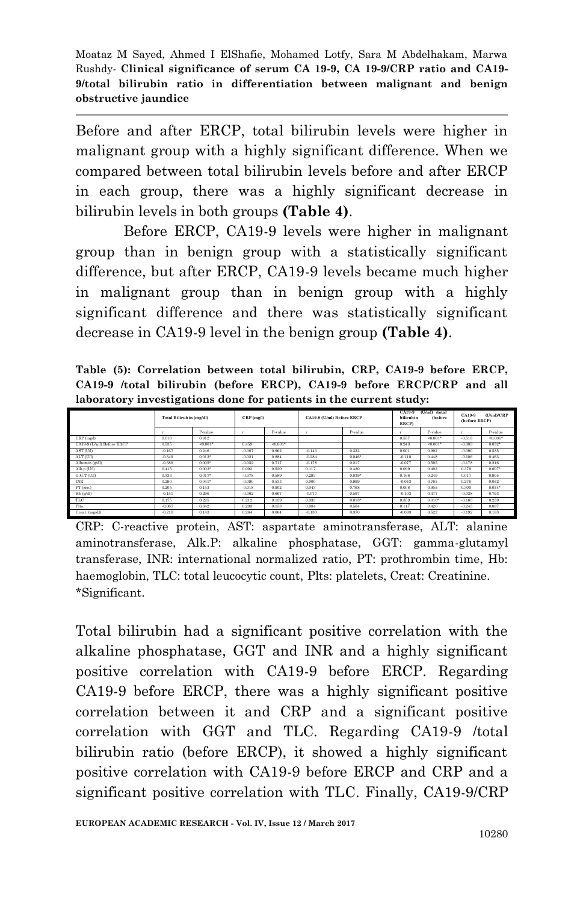Before and after ERCP, total bilirubin levels were higher in malignant group with a highly significant difference. When we compared between total bilirubin levels before and after ERCP in each group, there was a highly significant decrease in bilirubin levels in both groups **(Table 4)**.

Before ERCP, CA19-9 levels were higher in malignant group than in benign group with a statistically significant difference, but after ERCP, CA19-9 levels became much higher in malignant group than in benign group with a highly significant difference and there was statistically significant decrease in CA19-9 level in the benign group **(Table 4)**.

**Table (5): Correlation between total bilirubin, CRP, CA19-9 before ERCP, CA19-9 /total bilirubin (before ERCP), CA19-9 before ERCP/CRP and all laboratory investigations done for patients in the current study:**

|                           | Total Bilirubin (mg/dl) |             | $CRP$ (mg/l) |           | CA19-9 (U/ml) Before ERCP |          | CA19-9<br>bilirubin<br>ERCP) | (U/ml) /total<br><b>(before</b> | <b>CA19-9</b><br>(before ERCP) | (U/mI)/CRP |
|---------------------------|-------------------------|-------------|--------------|-----------|---------------------------|----------|------------------------------|---------------------------------|--------------------------------|------------|
|                           |                         | P-value     |              | P-value   |                           | P-value  |                              | P-value                         |                                | P-value    |
| CRP(mg/l)                 | 0.016                   | 0.912       |              |           |                           |          | 0.557                        | $< 0.001$ *                     | $-0.518$                       | $40.001*$  |
| CA19-9 (U/ml) Before ERCP | 0.535                   | $< 0.001$ * | 0.459        | $-0.001*$ |                           |          | 0.943                        | $< 0.001$ *                     | $-0.303$                       | $0.032*$   |
| AST (U/I)                 | $-0.167$                | 0.246       | $-0.007$     | 0.962     | $-0.143$                  | 0.322    | 0.001                        | 0.992                           | $-0.090$                       | 0.535      |
| ALT (U/I)                 | $-0.349$                | $0.013*$    | $-0.021$     | 0.884     | $-0.284$                  | $0.046*$ | $-0.110$                     | 0.448                           | $-0.106$                       | 0.463      |
| Albumin (g/dl)            | $-0.389$                | $0.005*$    | $-0.052$     | 0.717     | $-0.178$                  | 0.217    | $-0.077$                     | 0.595                           | $-0.178$                       | 0.216      |
| Alk.p (U/I)               | 0.415                   | $0.003*$    | 0.093        | 0.520     | 0.117                     | 0.420    | 0.099                        | 0.492                           | 0.378                          | $0.007*$   |
| G.G.T(U <sub>0</sub> )    | 0.336                   | $0.017*$    | $-0.078$     | 0.589     | 0.293                     | $0.039*$ | 0.166                        | 0.249                           | 0.017                          | 0.905      |
| <b>INR</b>                | 0.290                   | $0.041*$    | $-0.090$     | 0.533     | 0.000                     | 0.999    | $-0.043$                     | 0.765                           | 0.276                          | 0.052      |
| PT (sec.)                 | 0.205                   | 0.153       | $-0.018$     | 0.902     | 0.043                     | 0.768    | 0.008                        | 0.955                           | 0.300                          | $0.034*$   |
| Hb (g/dl)                 | $-0.151$                | 0.296       | $-0.062$     | 0.667     | $-0.077$                  | 0.597    | $-0.103$                     | 0.477                           | $-0.038$                       | 0.793      |
| TLC                       | 0.175                   | 0.225       | 0.212        | 0.139     | 0.333                     | $0.018*$ | 0.359                        | $0.010*$                        | $-0.163$                       | 0.259      |
| Pits.                     | $-0.067$                | 0.642       | 0.203        | 0.158     | 0.084                     | 0.564    | 0.117                        | 0.420                           | $-0.245$                       | 0.087      |
| Creat. (mg/dl)            | $-0.210$                | 0.143       | 0.264        | 0.064     | $-0.130$                  | 0.370    | $-0.093$                     | 0.522                           | $-0.192$                       | 0.183      |

CRP: C-reactive protein, AST: aspartate aminotransferase, ALT: alanine aminotransferase, Alk.P: alkaline phosphatase, GGT: gamma-glutamyl transferase, INR: international normalized ratio, PT: prothrombin time, Hb: haemoglobin, TLC: total leucocytic count, Plts: platelets, Creat: Creatinine. \*Significant.

Total bilirubin had a significant positive correlation with the alkaline phosphatase, GGT and INR and a highly significant positive correlation with CA19-9 before ERCP. Regarding CA19-9 before ERCP, there was a highly significant positive correlation between it and CRP and a significant positive correlation with GGT and TLC. Regarding CA19-9 /total bilirubin ratio (before ERCP), it showed a highly significant positive correlation with CA19-9 before ERCP and CRP and a significant positive correlation with TLC. Finally, CA19-9/CRP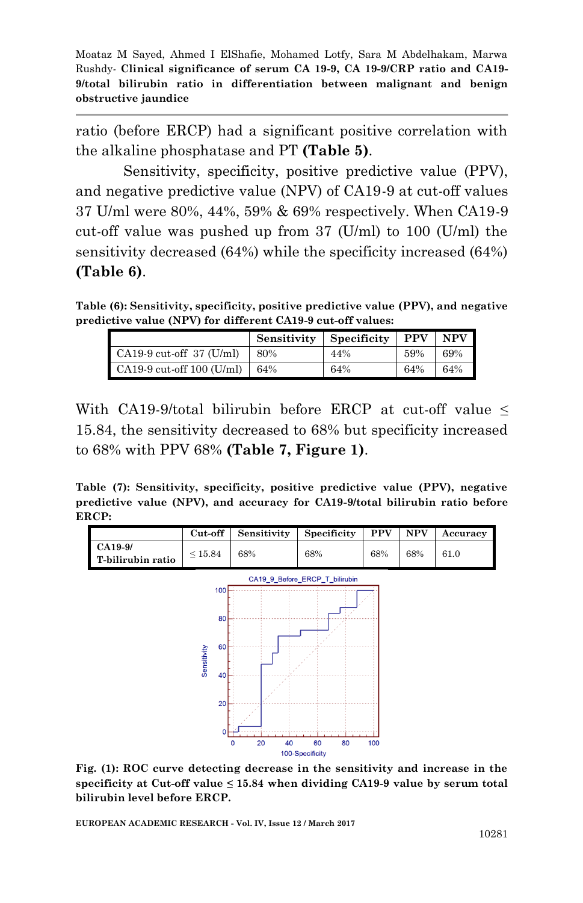ratio (before ERCP) had a significant positive correlation with the alkaline phosphatase and PT **(Table 5)**.

Sensitivity, specificity, positive predictive value (PPV), and negative predictive value (NPV) of CA19-9 at cut-off values 37 U/ml were 80%, 44%, 59% & 69% respectively. When CA19-9 cut-off value was pushed up from  $37 \text{ (U/ml)}$  to  $100 \text{ (U/ml)}$  the sensitivity decreased (64%) while the specificity increased (64%) **(Table 6)**.

**Table (6): Sensitivity, specificity, positive predictive value (PPV), and negative predictive value (NPV) for different CA19-9 cut-off values:**

|                             | Sensitivity | Specificity | <b>PPV</b> | NPV |
|-----------------------------|-------------|-------------|------------|-----|
| CA19-9 cut-off 37 (U/ml)    | 80%         | 44%         | 59%        | 69% |
| $CA19-9$ cut-off 100 (U/ml) | 64%         | 64%         | 64%        | 64% |

With CA19-9/total bilirubin before ERCP at cut-off value  $\leq$ 15.84, the sensitivity decreased to 68% but specificity increased to 68% with PPV 68% **(Table 7, Figure 1)**.

**Table (7): Sensitivity, specificity, positive predictive value (PPV), negative predictive value (NPV), and accuracy for CA19-9/total bilirubin ratio before ERCP:**



**Fig. (1): ROC curve detecting decrease in the sensitivity and increase in the specificity at Cut-off value ≤ 15.84 when dividing CA19-9 value by serum total bilirubin level before ERCP.**

**EUROPEAN ACADEMIC RESEARCH - Vol. IV, Issue 12 / March 2017**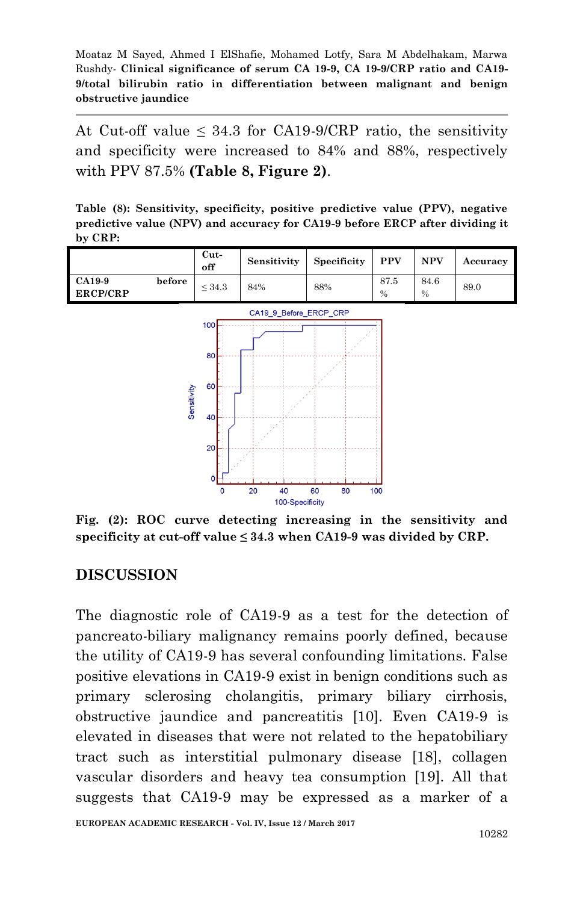At Cut-off value  $\leq 34.3$  for CA19-9/CRP ratio, the sensitivity and specificity were increased to 84% and 88%, respectively with PPV 87.5% **(Table 8, Figure 2)**.

**Table (8): Sensitivity, specificity, positive predictive value (PPV), negative predictive value (NPV) and accuracy for CA19-9 before ERCP after dividing it by CRP:**



**Fig. (2): ROC curve detecting increasing in the sensitivity and specificity at cut-off value ≤ 34.3 when CA19-9 was divided by CRP.**

#### **DISCUSSION**

The diagnostic role of CA19-9 as a test for the detection of pancreato-biliary malignancy remains poorly defined, because the utility of CA19-9 has several confounding limitations. False positive elevations in CA19-9 exist in benign conditions such as primary sclerosing cholangitis, primary biliary cirrhosis, obstructive jaundice and pancreatitis [10]. Even CA19-9 is elevated in diseases that were not related to the hepatobiliary tract such as interstitial pulmonary disease [18], collagen vascular disorders and heavy tea consumption [19]. All that suggests that CA19-9 may be expressed as a marker of a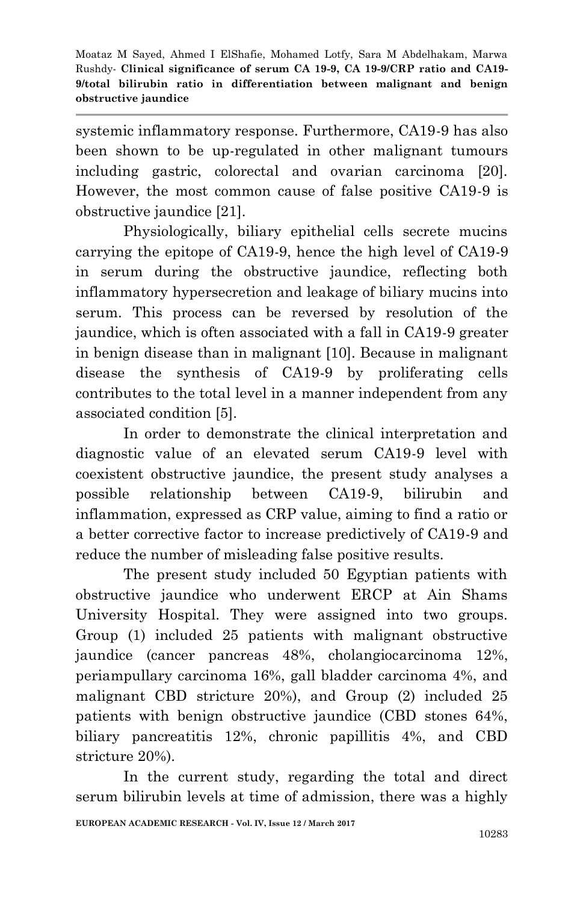systemic inflammatory response. Furthermore, CA19-9 has also been shown to be up-regulated in other malignant tumours including gastric, colorectal and ovarian carcinoma [20]. However, the most common cause of false positive CA19-9 is obstructive jaundice [21].

Physiologically, biliary epithelial cells secrete mucins carrying the epitope of CA19-9, hence the high level of CA19-9 in serum during the obstructive jaundice, reflecting both inflammatory hypersecretion and leakage of biliary mucins into serum. This process can be reversed by resolution of the jaundice, which is often associated with a fall in CA19-9 greater in benign disease than in malignant [10]. Because in malignant disease the synthesis of CA19-9 by proliferating cells contributes to the total level in a manner independent from any associated condition [5].

In order to demonstrate the clinical interpretation and diagnostic value of an elevated serum CA19-9 level with coexistent obstructive jaundice, the present study analyses a possible relationship between CA19-9, bilirubin and inflammation, expressed as CRP value, aiming to find a ratio or a better corrective factor to increase predictively of CA19-9 and reduce the number of misleading false positive results.

The present study included 50 Egyptian patients with obstructive jaundice who underwent ERCP at Ain Shams University Hospital. They were assigned into two groups. Group (1) included 25 patients with malignant obstructive jaundice (cancer pancreas 48%, cholangiocarcinoma 12%, periampullary carcinoma 16%, gall bladder carcinoma 4%, and malignant CBD stricture 20%), and Group (2) included 25 patients with benign obstructive jaundice (CBD stones 64%, biliary pancreatitis 12%, chronic papillitis 4%, and CBD stricture 20%).

In the current study, regarding the total and direct serum bilirubin levels at time of admission, there was a highly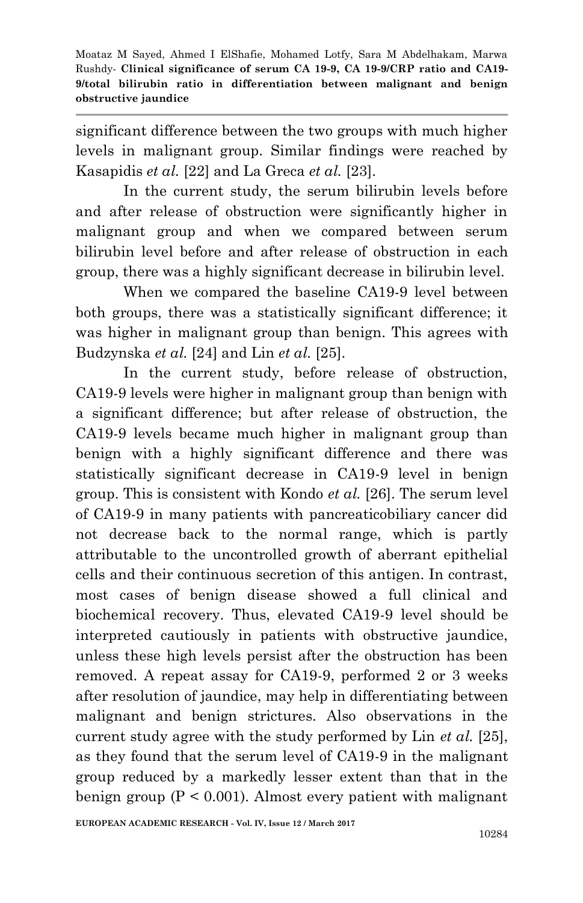significant difference between the two groups with much higher levels in malignant group. Similar findings were reached by Kasapidis *et al.* [22] and La Greca *et al.* [23].

In the current study, the serum bilirubin levels before and after release of obstruction were significantly higher in malignant group and when we compared between serum bilirubin level before and after release of obstruction in each group, there was a highly significant decrease in bilirubin level.

When we compared the baseline CA19-9 level between both groups, there was a statistically significant difference; it was higher in malignant group than benign. This agrees with Budzynska *et al.* [24] and Lin *et al.* [25].

In the current study, before release of obstruction, CA19-9 levels were higher in malignant group than benign with a significant difference; but after release of obstruction, the CA19-9 levels became much higher in malignant group than benign with a highly significant difference and there was statistically significant decrease in CA19-9 level in benign group. This is consistent with Kondo *et al.* [26]. The serum level of CA19-9 in many patients with pancreaticobiliary cancer did not decrease back to the normal range, which is partly attributable to the uncontrolled growth of aberrant epithelial cells and their continuous secretion of this antigen. In contrast, most cases of benign disease showed a full clinical and biochemical recovery. Thus, elevated CA19-9 level should be interpreted cautiously in patients with obstructive jaundice, unless these high levels persist after the obstruction has been removed. A repeat assay for CA19-9, performed 2 or 3 weeks after resolution of jaundice, may help in differentiating between malignant and benign strictures. Also observations in the current study agree with the study performed by Lin *et al.* [25], as they found that the serum level of CA19-9 in the malignant group reduced by a markedly lesser extent than that in the benign group  $(P < 0.001)$ . Almost every patient with malignant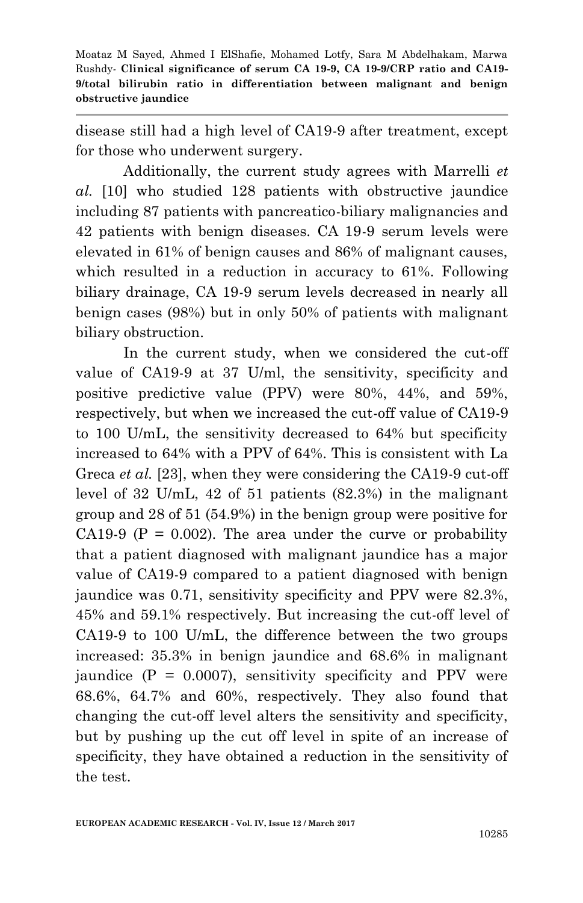disease still had a high level of CA19-9 after treatment, except for those who underwent surgery.

Additionally, the current study agrees with Marrelli *et al.* [10] who studied 128 patients with obstructive jaundice including 87 patients with pancreatico-biliary malignancies and 42 patients with benign diseases. CA 19-9 serum levels were elevated in 61% of benign causes and 86% of malignant causes, which resulted in a reduction in accuracy to 61%. Following biliary drainage, CA 19-9 serum levels decreased in nearly all benign cases (98%) but in only 50% of patients with malignant biliary obstruction.

In the current study, when we considered the cut-off value of CA19-9 at 37 U/ml, the sensitivity, specificity and positive predictive value (PPV) were 80%, 44%, and 59%, respectively, but when we increased the cut-off value of CA19-9 to 100 U/mL, the sensitivity decreased to 64% but specificity increased to 64% with a PPV of 64%. This is consistent with La Greca *et al.* [23], when they were considering the CA19-9 cut-off level of 32 U/mL, 42 of 51 patients (82.3%) in the malignant group and 28 of 51 (54.9%) in the benign group were positive for CA19-9 ( $P = 0.002$ ). The area under the curve or probability that a patient diagnosed with malignant jaundice has a major value of CA19-9 compared to a patient diagnosed with benign jaundice was 0.71, sensitivity specificity and PPV were 82.3%, 45% and 59.1% respectively. But increasing the cut-off level of CA19-9 to 100 U/mL, the difference between the two groups increased: 35.3% in benign jaundice and 68.6% in malignant jaundice  $(P = 0.0007)$ , sensitivity specificity and PPV were 68.6%, 64.7% and 60%, respectively. They also found that changing the cut-off level alters the sensitivity and specificity, but by pushing up the cut off level in spite of an increase of specificity, they have obtained a reduction in the sensitivity of the test.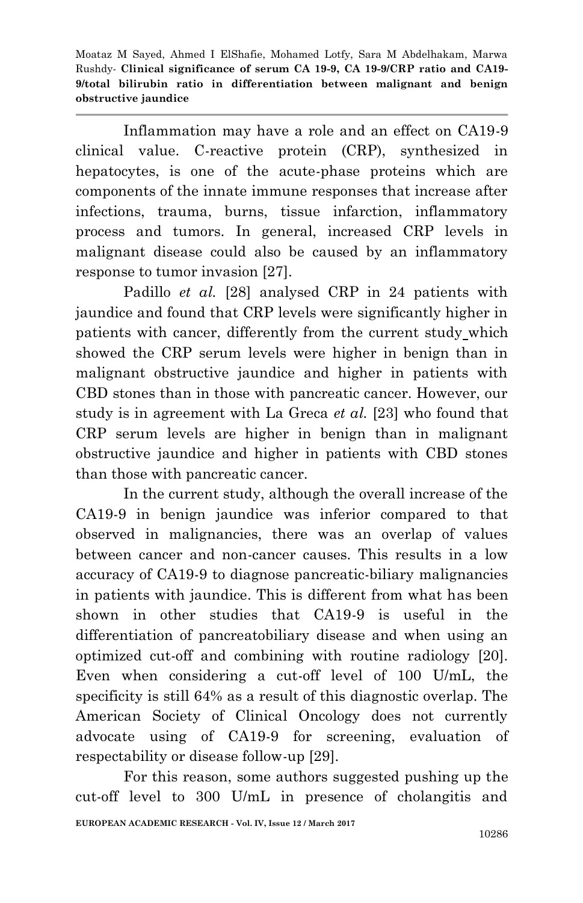Inflammation may have a role and an effect on CA19-9 clinical value. C-reactive protein (CRP), synthesized in hepatocytes, is one of the acute-phase proteins which are components of the innate immune responses that increase after infections, trauma, burns, tissue infarction, inflammatory process and tumors. In general, increased CRP levels in malignant disease could also be caused by an inflammatory response to tumor invasion [27].

Padillo *et al.* [28] analysed CRP in 24 patients with jaundice and found that CRP levels were significantly higher in patients with cancer, differently from the current study which showed the CRP serum levels were higher in benign than in malignant obstructive jaundice and higher in patients with CBD stones than in those with pancreatic cancer. However, our study is in agreement with La Greca *et al.* [23] who found that CRP serum levels are higher in benign than in malignant obstructive jaundice and higher in patients with CBD stones than those with pancreatic cancer.

In the current study, although the overall increase of the CA19-9 in benign jaundice was inferior compared to that observed in malignancies, there was an overlap of values between cancer and non-cancer causes. This results in a low accuracy of CA19-9 to diagnose pancreatic-biliary malignancies in patients with jaundice. This is different from what has been shown in other studies that CA19-9 is useful in the differentiation of pancreatobiliary disease and when using an optimized cut-off and combining with routine radiology [20]. Even when considering a cut-off level of 100 U/mL, the specificity is still 64% as a result of this diagnostic overlap. The American Society of Clinical Oncology does not currently advocate using of CA19-9 for screening, evaluation of respectability or disease follow-up [29].

For this reason, some authors suggested pushing up the cut-off level to 300 U/mL in presence of cholangitis and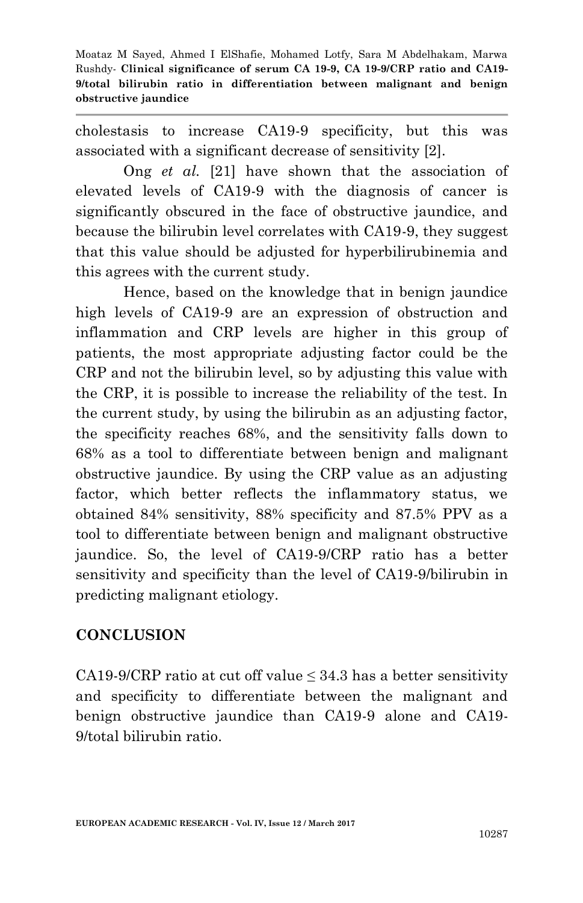cholestasis to increase CA19-9 specificity, but this was associated with a significant decrease of sensitivity [2].

Ong *et al.* [21] have shown that the association of elevated levels of CA19-9 with the diagnosis of cancer is significantly obscured in the face of obstructive jaundice, and because the bilirubin level correlates with CA19-9, they suggest that this value should be adjusted for hyperbilirubinemia and this agrees with the current study.

Hence, based on the knowledge that in benign jaundice high levels of CA19-9 are an expression of obstruction and inflammation and CRP levels are higher in this group of patients, the most appropriate adjusting factor could be the CRP and not the bilirubin level, so by adjusting this value with the CRP, it is possible to increase the reliability of the test. In the current study, by using the bilirubin as an adjusting factor, the specificity reaches 68%, and the sensitivity falls down to 68% as a tool to differentiate between benign and malignant obstructive jaundice. By using the CRP value as an adjusting factor, which better reflects the inflammatory status, we obtained 84% sensitivity, 88% specificity and 87.5% PPV as a tool to differentiate between benign and malignant obstructive jaundice. So, the level of CA19-9/CRP ratio has a better sensitivity and specificity than the level of CA19-9/bilirubin in predicting malignant etiology.

### **CONCLUSION**

CA19-9/CRP ratio at cut off value  $\leq$  34.3 has a better sensitivity and specificity to differentiate between the malignant and benign obstructive jaundice than CA19-9 alone and CA19- 9/total bilirubin ratio.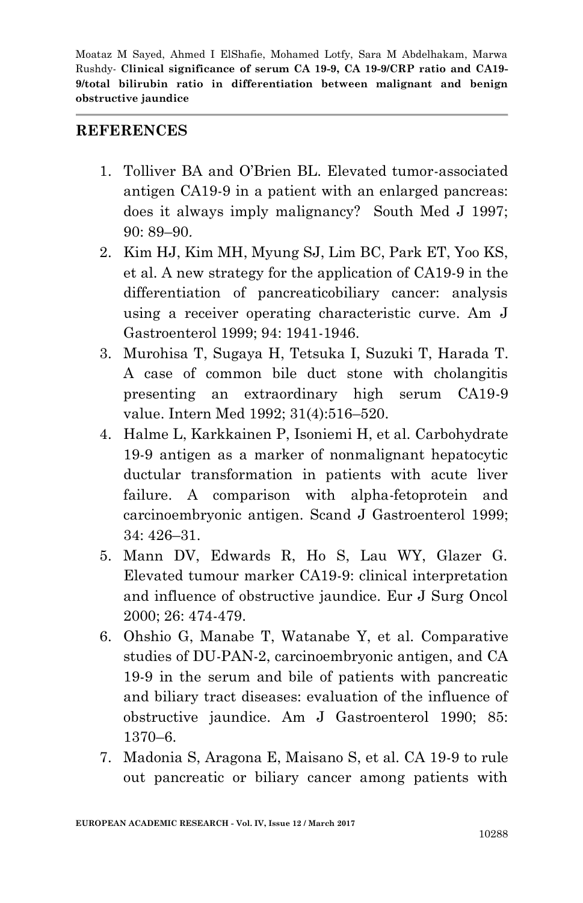#### **REFERENCES**

- 1. Tolliver BA and O'Brien BL. Elevated tumor-associated antigen CA19-9 in a patient with an enlarged pancreas: does it always imply malignancy? South Med J 1997; 90: 89–90.
- 2. Kim HJ, Kim MH, Myung SJ, Lim BC, Park ET, Yoo KS, et al. A new strategy for the application of CA19-9 in the differentiation of pancreaticobiliary cancer: analysis using a receiver operating characteristic curve. Am J Gastroenterol 1999; 94: 1941-1946.
- 3. Murohisa T, Sugaya H, Tetsuka I, Suzuki T, Harada T. A case of common bile duct stone with cholangitis presenting an extraordinary high serum CA19-9 value. Intern Med 1992; 31(4):516–520.
- 4. Halme L, Karkkainen P, Isoniemi H, et al. Carbohydrate 19-9 antigen as a marker of nonmalignant hepatocytic ductular transformation in patients with acute liver failure. A comparison with alpha-fetoprotein and carcinoembryonic antigen. Scand J Gastroenterol 1999; 34: 426–31.
- 5. Mann DV, Edwards R, Ho S, Lau WY, Glazer G. Elevated tumour marker CA19-9: clinical interpretation and influence of obstructive jaundice. Eur J Surg Oncol 2000; 26: 474-479.
- 6. Ohshio G, Manabe T, Watanabe Y, et al. Comparative studies of DU-PAN-2, carcinoembryonic antigen, and CA 19-9 in the serum and bile of patients with pancreatic and biliary tract diseases: evaluation of the influence of obstructive jaundice. Am J Gastroenterol 1990; 85: 1370–6.
- 7. Madonia S, Aragona E, Maisano S, et al. CA 19-9 to rule out pancreatic or biliary cancer among patients with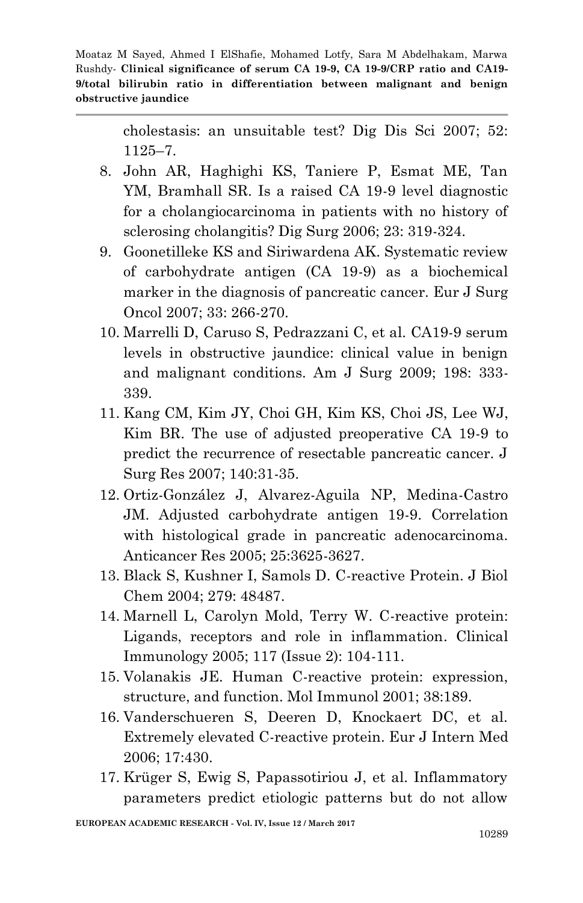> cholestasis: an unsuitable test? Dig Dis Sci 2007; 52: 1125–7.

- 8. John AR, Haghighi KS, Taniere P, Esmat ME, Tan YM, Bramhall SR. Is a raised CA 19-9 level diagnostic for a cholangiocarcinoma in patients with no history of sclerosing cholangitis? Dig Surg 2006; 23: 319-324.
- 9. Goonetilleke KS and Siriwardena AK. Systematic review of carbohydrate antigen (CA 19-9) as a biochemical marker in the diagnosis of pancreatic cancer. Eur J Surg Oncol 2007; 33: 266-270.
- 10. Marrelli D, Caruso S, Pedrazzani C, et al. CA19-9 serum levels in obstructive jaundice: clinical value in benign and malignant conditions. Am J Surg 2009; 198: 333- 339.
- 11. Kang CM, Kim JY, Choi GH, Kim KS, Choi JS, Lee WJ, Kim BR. The use of adjusted preoperative CA 19-9 to predict the recurrence of resectable pancreatic cancer. J Surg Res 2007; 140:31-35.
- 12. Ortiz-González J, Alvarez-Aguila NP, Medina-Castro JM. Adjusted carbohydrate antigen 19-9. Correlation with histological grade in pancreatic adenocarcinoma. Anticancer Res 2005; 25:3625-3627.
- 13. Black S, Kushner I, Samols D. C-reactive Protein. J Biol Chem 2004; 279: 48487.
- 14. Marnell L, Carolyn Mold, Terry W. C-reactive protein: Ligands, receptors and role in inflammation. Clinical Immunology 2005; 117 (Issue 2): 104-111.
- 15. Volanakis JE. Human C-reactive protein: expression, structure, and function. Mol Immunol 2001; 38:189.
- 16. Vanderschueren S, Deeren D, Knockaert DC, et al. Extremely elevated C-reactive protein. Eur J Intern Med 2006; 17:430.
- 17. Krüger S, Ewig S, Papassotiriou J, et al. Inflammatory parameters predict etiologic patterns but do not allow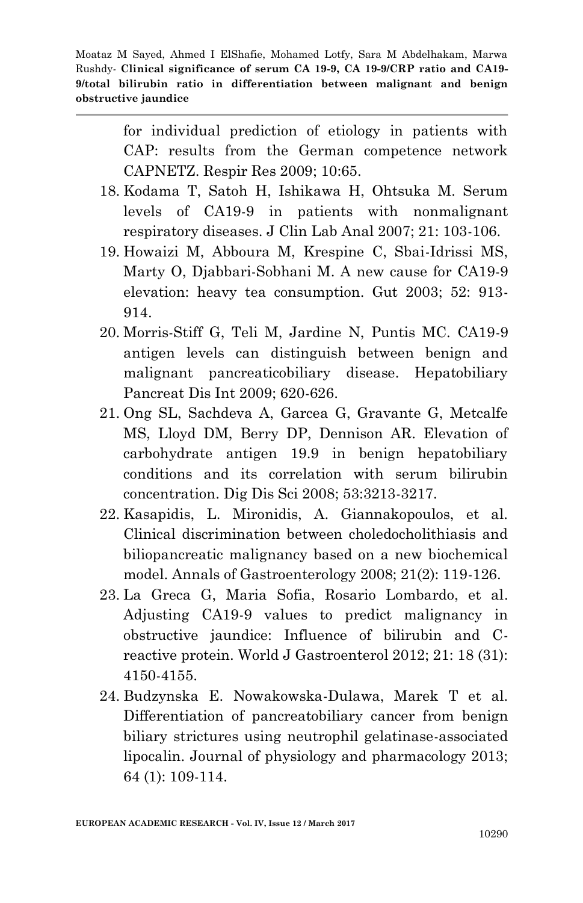> for individual prediction of etiology in patients with CAP: results from the German competence network CAPNETZ. Respir Res 2009; 10:65.

- 18. Kodama T, Satoh H, Ishikawa H, Ohtsuka M. Serum levels of CA19-9 in patients with nonmalignant respiratory diseases. J Clin Lab Anal 2007; 21: 103-106.
- 19. Howaizi M, Abboura M, Krespine C, Sbai-Idrissi MS, Marty O, Djabbari-Sobhani M. A new cause for CA19-9 elevation: heavy tea consumption. Gut 2003; 52: 913- 914.
- 20. Morris-Stiff G, Teli M, Jardine N, Puntis MC. CA19-9 antigen levels can distinguish between benign and malignant pancreaticobiliary disease. Hepatobiliary Pancreat Dis Int 2009; 620-626.
- 21. Ong SL, Sachdeva A, Garcea G, Gravante G, Metcalfe MS, Lloyd DM, Berry DP, Dennison AR. Elevation of carbohydrate antigen 19.9 in benign hepatobiliary conditions and its correlation with serum bilirubin concentration. Dig Dis Sci 2008; 53:3213-3217.
- 22. Kasapidis, L. Mironidis, A. Giannakopoulos, et al. Clinical discrimination between choledocholithiasis and biliopancreatic malignancy based on a new biochemical model. Annals of Gastroenterology 2008; 21(2): 119-126.
- 23. La Greca G, Maria Sofia, Rosario Lombardo, et al. Adjusting CA19-9 values to predict malignancy in obstructive jaundice: Influence of bilirubin and Creactive protein. World J Gastroenterol 2012; 21: 18 (31): 4150-4155.
- 24. Budzynska E. Nowakowska-Dulawa, Marek T et al. Differentiation of pancreatobiliary cancer from benign biliary strictures using neutrophil gelatinase-associated lipocalin. Journal of physiology and pharmacology 2013; 64 (1): 109-114.